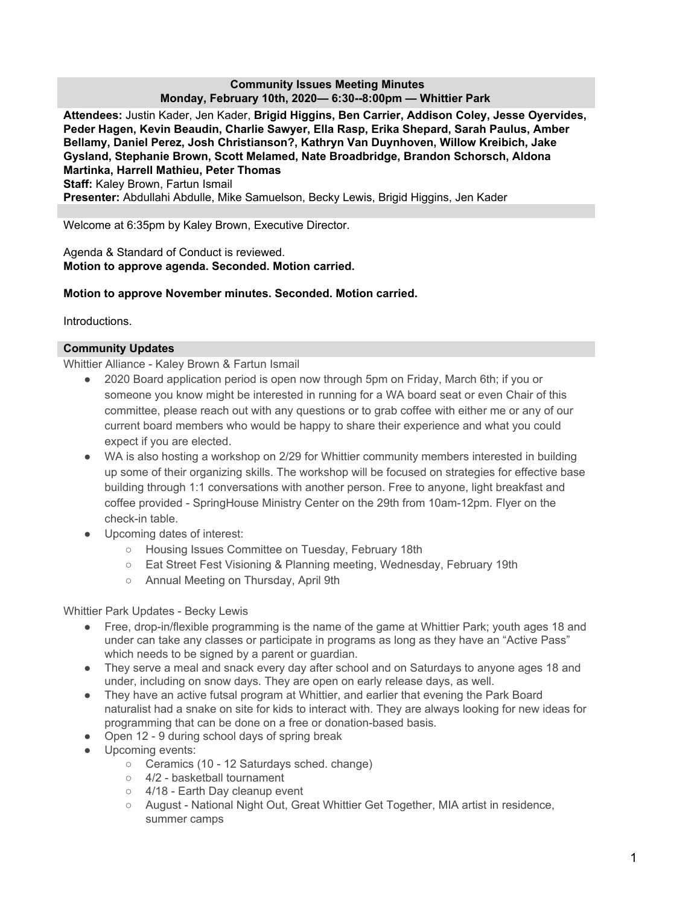## **Community Issues Meeting Minutes Monday, February 10th, 2020— 6:30--8:00pm — Whittier Park**

**Attendees:** Justin Kader, Jen Kader, **Brigid Higgins, Ben Carrier, Addison Coley, Jesse Oyervides, Peder Hagen, Kevin Beaudin, Charlie Sawyer, Ella Rasp, Erika Shepard, Sarah Paulus, Amber Bellamy, Daniel Perez, Josh Christianson?, Kathryn Van Duynhoven, Willow Kreibich, Jake Gysland, Stephanie Brown, Scott Melamed, Nate Broadbridge, Brandon Schorsch, Aldona Martinka, Harrell Mathieu, Peter Thomas Staff:** Kaley Brown, Fartun Ismail **Presenter:** Abdullahi Abdulle, Mike Samuelson, Becky Lewis, Brigid Higgins, Jen Kader

Welcome at 6:35pm by Kaley Brown, Executive Director.

Agenda & Standard of Conduct is reviewed. **Motion to approve agenda. Seconded. Motion carried.**

# **Motion to approve November minutes. Seconded. Motion carried.**

Introductions.

#### **Community Updates**

Whittier Alliance - Kaley Brown & Fartun Ismail

- 2020 Board application period is open now through 5pm on Friday, March 6th; if you or someone you know might be interested in running for a WA board seat or even Chair of this committee, please reach out with any questions or to grab coffee with either me or any of our current board members who would be happy to share their experience and what you could expect if you are elected.
- WA is also hosting a workshop on 2/29 for Whittier community members interested in building up some of their organizing skills. The workshop will be focused on strategies for effective base building through 1:1 conversations with another person. Free to anyone, light breakfast and coffee provided - SpringHouse Ministry Center on the 29th from 10am-12pm. Flyer on the check-in table.
- Upcoming dates of interest:
	- Housing Issues Committee on Tuesday, February 18th
	- Eat Street Fest Visioning & Planning meeting, Wednesday, February 19th
	- Annual Meeting on Thursday, April 9th

Whittier Park Updates - Becky Lewis

- Free, drop-in/flexible programming is the name of the game at Whittier Park; youth ages 18 and under can take any classes or participate in programs as long as they have an "Active Pass" which needs to be signed by a parent or guardian.
- They serve a meal and snack every day after school and on Saturdays to anyone ages 18 and under, including on snow days. They are open on early release days, as well.
- They have an active futsal program at Whittier, and earlier that evening the Park Board naturalist had a snake on site for kids to interact with. They are always looking for new ideas for programming that can be done on a free or donation-based basis.
- Open 12 9 during school days of spring break
- Upcoming events:
	- Ceramics (10 12 Saturdays sched. change)
	- 4/2 basketball tournament
	- 4/18 Earth Dav cleanup event
	- August National Night Out, Great Whittier Get Together, MIA artist in residence, summer camps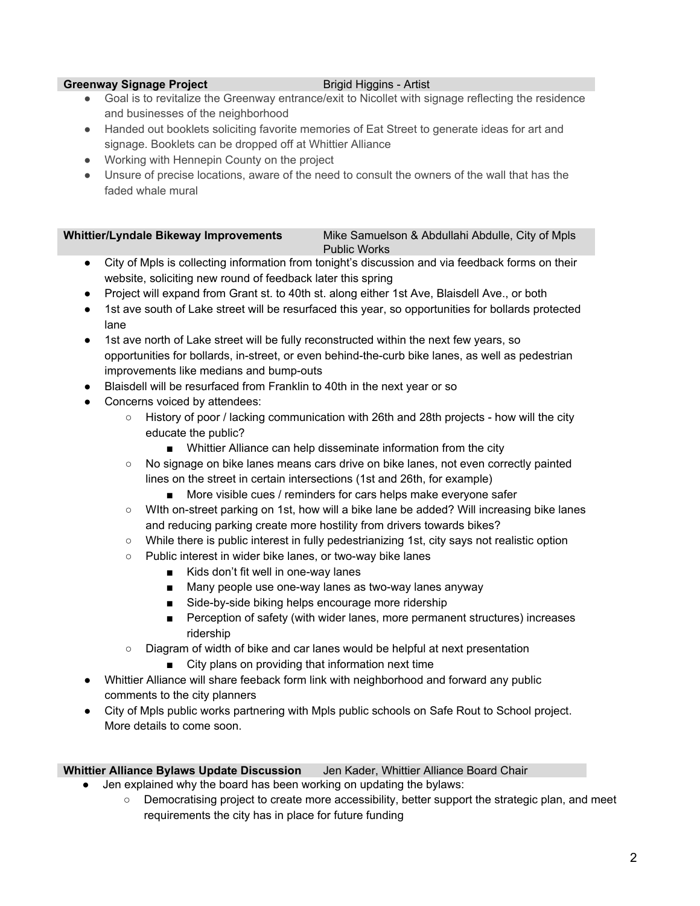## **Greenway Signage Project Brigger Brigger Briggers** Briggers Artist

- Goal is to revitalize the Greenway entrance/exit to Nicollet with signage reflecting the residence and businesses of the neighborhood
- Handed out booklets soliciting favorite memories of Eat Street to generate ideas for art and signage. Booklets can be dropped off at Whittier Alliance
- Working with Hennepin County on the project
- Unsure of precise locations, aware of the need to consult the owners of the wall that has the faded whale mural

#### **Whittier/Lyndale Bikeway Improvements** Mike Samuelson & Abdullahi Abdulle, City of Mpls Public Works

- City of Mpls is collecting information from tonight's discussion and via feedback forms on their website, soliciting new round of feedback later this spring
- Project will expand from Grant st. to 40th st. along either 1st Ave, Blaisdell Ave., or both
- 1st ave south of Lake street will be resurfaced this year, so opportunities for bollards protected lane
- 1st ave north of Lake street will be fully reconstructed within the next few years, so opportunities for bollards, in-street, or even behind-the-curb bike lanes, as well as pedestrian improvements like medians and bump-outs
- Blaisdell will be resurfaced from Franklin to 40th in the next year or so
- Concerns voiced by attendees:
	- History of poor / lacking communication with 26th and 28th projects how will the city educate the public?
		- Whittier Alliance can help disseminate information from the city
	- No signage on bike lanes means cars drive on bike lanes, not even correctly painted lines on the street in certain intersections (1st and 26th, for example)
		- More visible cues / reminders for cars helps make everyone safer
	- WIth on-street parking on 1st, how will a bike lane be added? Will increasing bike lanes and reducing parking create more hostility from drivers towards bikes?
	- While there is public interest in fully pedestrianizing 1st, city says not realistic option
	- Public interest in wider bike lanes, or two-way bike lanes
		- Kids don't fit well in one-way lanes
		- Many people use one-way lanes as two-way lanes anyway
		- Side-by-side biking helps encourage more ridership
		- Perception of safety (with wider lanes, more permanent structures) increases ridership
	- Diagram of width of bike and car lanes would be helpful at next presentation
		- City plans on providing that information next time
- Whittier Alliance will share feeback form link with neighborhood and forward any public comments to the city planners
- City of Mpls public works partnering with Mpls public schools on Safe Rout to School project. More details to come soon.

# **Whittier Alliance Bylaws Update Discussion** Jen Kader, Whittier Alliance Board Chair

- Jen explained why the board has been working on updating the bylaws:
	- Democratising project to create more accessibility, better support the strategic plan, and meet requirements the city has in place for future funding